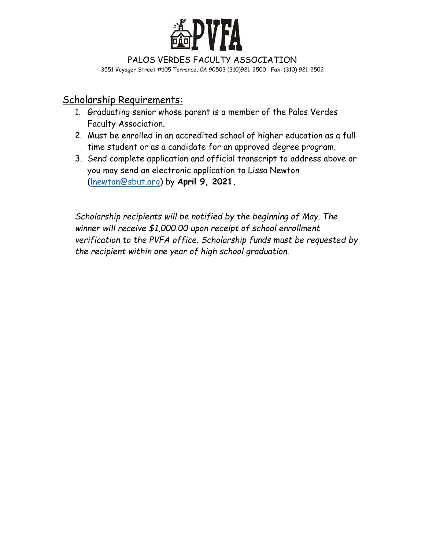

PALOS VERDES FACULTY ASSOCIATION 3551 Voyager Street #105 Torrance, CA 90503 (310)921-2500 Fax: (310) 921-2502

## Scholarship Requirements:

- 1. Graduating senior whose parent is a member of the Palos Verdes Faculty Association.
- 2. Must be enrolled in an accredited school of higher education as a fulltime student or as a candidate for an approved degree program.
- 3. Send complete application and official transcript to address above or you may send an electronic application to Lissa Newton [\(lnewton@sbut.org\)](mailto:lnewton@sbut.org) by **April 9, 2021.**

*Scholarship recipients will be notified by the beginning of May. The winner will receive \$1,000.00 upon receipt of school enrollment verification to the PVFA office. Scholarship funds must be requested by the recipient within one year of high school graduation.*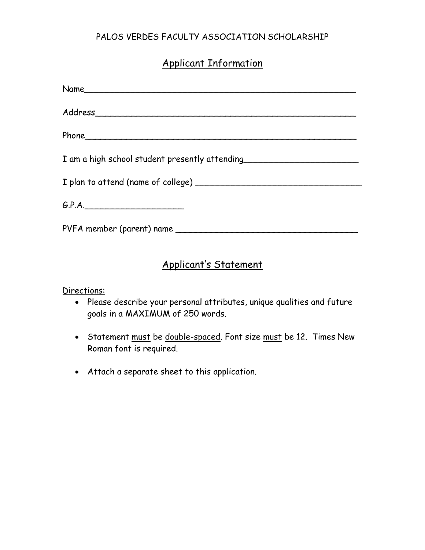### PALOS VERDES FACULTY ASSOCIATION SCHOLARSHIP

# Applicant Information

| I am a high school student presently attending _________________________________ |
|----------------------------------------------------------------------------------|
|                                                                                  |
| G.P.A.                                                                           |
|                                                                                  |

## Applicant's Statement

Directions:

- Please describe your personal attributes, unique qualities and future goals in a MAXIMUM of 250 words.
- Statement must be double-spaced. Font size must be 12. Times New Roman font is required.
- Attach a separate sheet to this application.